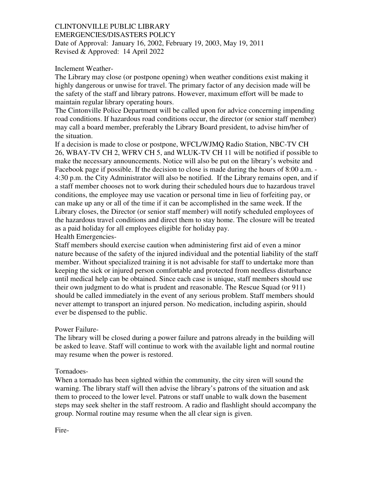# CLINTONVILLE PUBLIC LIBRARY

EMERGENCIES/DISASTERS POLICY Date of Approval: January 16, 2002, February 19, 2003, May 19, 2011 Revised & Approved: 14 April 2022

### Inclement Weather-

The Library may close (or postpone opening) when weather conditions exist making it highly dangerous or unwise for travel. The primary factor of any decision made will be the safety of the staff and library patrons. However, maximum effort will be made to maintain regular library operating hours.

The Cintonville Police Department will be called upon for advice concerning impending road conditions. If hazardous road conditions occur, the director (or senior staff member) may call a board member, preferably the Library Board president, to advise him/her of the situation.

If a decision is made to close or postpone, WFCL/WJMQ Radio Station, NBC-TV CH 26, WBAY-TV CH 2, WFRV CH 5, and WLUK-TV CH 11 will be notified if possible to make the necessary announcements. Notice will also be put on the library's website and Facebook page if possible. If the decision to close is made during the hours of 8:00 a.m. - 4:30 p.m. the City Administrator will also be notified. If the Library remains open, and if a staff member chooses not to work during their scheduled hours due to hazardous travel conditions, the employee may use vacation or personal time in lieu of forfeiting pay, or can make up any or all of the time if it can be accomplished in the same week. If the Library closes, the Director (or senior staff member) will notify scheduled employees of the hazardous travel conditions and direct them to stay home. The closure will be treated as a paid holiday for all employees eligible for holiday pay.

Health Emergencies-

Staff members should exercise caution when administering first aid of even a minor nature because of the safety of the injured individual and the potential liability of the staff member. Without specialized training it is not advisable for staff to undertake more than keeping the sick or injured person comfortable and protected from needless disturbance until medical help can be obtained. Since each case is unique, staff members should use their own judgment to do what is prudent and reasonable. The Rescue Squad (or 911) should be called immediately in the event of any serious problem. Staff members should never attempt to transport an injured person. No medication, including aspirin, should ever be dispensed to the public.

#### Power Failure-

The library will be closed during a power failure and patrons already in the building will be asked to leave. Staff will continue to work with the available light and normal routine may resume when the power is restored.

## Tornadoes-

When a tornado has been sighted within the community, the city siren will sound the warning. The library staff will then advise the library's patrons of the situation and ask them to proceed to the lower level. Patrons or staff unable to walk down the basement steps may seek shelter in the staff restroom. A radio and flashlight should accompany the group. Normal routine may resume when the all clear sign is given.

Fire-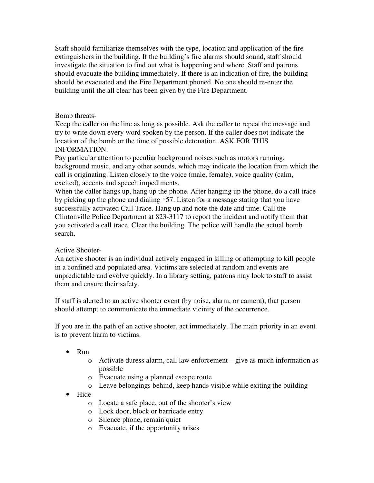Staff should familiarize themselves with the type, location and application of the fire extinguishers in the building. If the building's fire alarms should sound, staff should investigate the situation to find out what is happening and where. Staff and patrons should evacuate the building immediately. If there is an indication of fire, the building should be evacuated and the Fire Department phoned. No one should re-enter the building until the all clear has been given by the Fire Department.

## Bomb threats-

Keep the caller on the line as long as possible. Ask the caller to repeat the message and try to write down every word spoken by the person. If the caller does not indicate the location of the bomb or the time of possible detonation, ASK FOR THIS INFORMATION.

Pay particular attention to peculiar background noises such as motors running, background music, and any other sounds, which may indicate the location from which the call is originating. Listen closely to the voice (male, female), voice quality (calm, excited), accents and speech impediments.

When the caller hangs up, hang up the phone. After hanging up the phone, do a call trace by picking up the phone and dialing \*57. Listen for a message stating that you have successfully activated Call Trace. Hang up and note the date and time. Call the Clintonville Police Department at 823-3117 to report the incident and notify them that you activated a call trace. Clear the building. The police will handle the actual bomb search.

#### Active Shooter-

An active shooter is an individual actively engaged in killing or attempting to kill people in a confined and populated area. Victims are selected at random and events are unpredictable and evolve quickly. In a library setting, patrons may look to staff to assist them and ensure their safety.

If staff is alerted to an active shooter event (by noise, alarm, or camera), that person should attempt to communicate the immediate vicinity of the occurrence.

If you are in the path of an active shooter, act immediately. The main priority in an event is to prevent harm to victims.

- Run
	- o Activate duress alarm, call law enforcement—give as much information as possible
	- o Evacuate using a planned escape route
	- o Leave belongings behind, keep hands visible while exiting the building
- Hide
	- o Locate a safe place, out of the shooter's view
	- o Lock door, block or barricade entry
	- o Silence phone, remain quiet
	- o Evacuate, if the opportunity arises